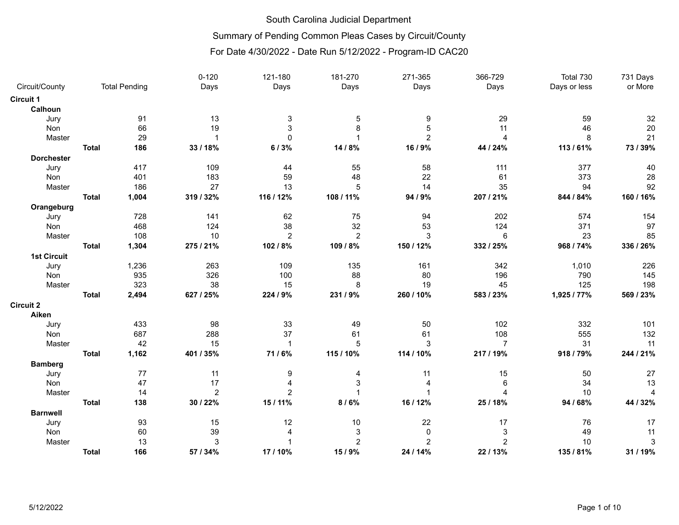## Summary of Pending Common Pleas Cases by Circuit/County

|                    |              |                      | $0 - 120$      | 121-180                   | 181-270        | 271-365        | 366-729        | Total 730    | 731 Days       |
|--------------------|--------------|----------------------|----------------|---------------------------|----------------|----------------|----------------|--------------|----------------|
| Circuit/County     |              | <b>Total Pending</b> | Days           | Days                      | Days           | Days           | Days           | Days or less | or More        |
| Circuit 1          |              |                      |                |                           |                |                |                |              |                |
| Calhoun            |              |                      |                |                           |                |                |                |              |                |
| Jury               |              | 91                   | 13             | $\ensuremath{\mathsf{3}}$ | 5              | 9              | 29             | 59           | 32             |
| Non                |              | 66                   | 19             | 3                         | 8              | 5              | 11             | 46           | 20             |
| Master             |              | 29                   | $\overline{1}$ | $\Omega$                  | 1              | $\overline{2}$ | $\overline{4}$ | 8            | 21             |
|                    | <b>Total</b> | 186                  | 33 / 18%       | 6/3%                      | 14 / 8%        | 16 / 9%        | 44 / 24%       | 113 / 61%    | 73 / 39%       |
| <b>Dorchester</b>  |              |                      |                |                           |                |                |                |              |                |
| Jury               |              | 417                  | 109            | 44                        | 55             | 58             | 111            | 377          | 40             |
| Non                |              | 401                  | 183            | 59                        | 48             | 22             | 61             | 373          | 28             |
| Master             |              | 186                  | 27             | 13                        | 5              | 14             | 35             | 94           | 92             |
|                    | <b>Total</b> | 1,004                | 319 / 32%      | 116 / 12%                 | 108 / 11%      | 94 / 9%        | 207 / 21%      | 844 / 84%    | 160 / 16%      |
| Orangeburg         |              |                      |                |                           |                |                |                |              |                |
| Jury               |              | 728                  | 141            | 62                        | 75             | 94             | 202            | 574          | 154            |
| Non                |              | 468                  | 124            | 38                        | 32             | 53             | 124            | 371          | 97             |
| Master             |              | 108                  | 10             | $\overline{2}$            | $\overline{2}$ | 3              | 6              | 23           | 85             |
|                    | <b>Total</b> | 1,304                | 275 / 21%      | 102 / 8%                  | 109 / 8%       | 150 / 12%      | 332 / 25%      | 968 / 74%    | 336 / 26%      |
| <b>1st Circuit</b> |              |                      |                |                           |                |                |                |              |                |
| Jury               |              | 1,236                | 263            | 109                       | 135            | 161            | 342            | 1,010        | 226            |
| Non                |              | 935                  | 326            | 100                       | 88             | 80             | 196            | 790          | 145            |
| Master             |              | 323                  | 38             | 15                        | 8              | 19             | 45             | 125          | 198            |
|                    | <b>Total</b> | 2,494                | 627 / 25%      | 224 / 9%                  | 231 / 9%       | 260 / 10%      | 583 / 23%      | 1,925 / 77%  | 569 / 23%      |
| <b>Circuit 2</b>   |              |                      |                |                           |                |                |                |              |                |
| Aiken              |              |                      |                |                           |                |                |                |              |                |
| Jury               |              | 433                  | 98             | 33                        | 49             | 50             | 102            | 332          | 101            |
| Non                |              | 687                  | 288            | 37                        | 61             | 61             | 108            | 555          | 132            |
| Master             |              | 42                   | 15             | $\mathbf{1}$              | 5              | 3              | $\overline{7}$ | 31           | 11             |
|                    | <b>Total</b> | 1,162                | 401 / 35%      | 71/6%                     | 115 / 10%      | 114 / 10%      | 217 / 19%      | 918 / 79%    | 244 / 21%      |
| <b>Bamberg</b>     |              |                      |                |                           |                |                |                |              |                |
| Jury               |              | 77                   | 11             | 9                         | 4              | 11             | 15             | 50           | 27             |
| Non                |              | 47                   | 17             | $\overline{4}$            | 3              | 4              | 6              | 34           | 13             |
| Master             |              | 14                   | $\overline{2}$ | $\overline{c}$            |                | $\mathbf 1$    | $\overline{4}$ | 10           | $\overline{4}$ |
|                    | <b>Total</b> | 138                  | 30 / 22%       | 15 / 11%                  | 8/6%           | 16 / 12%       | 25 / 18%       | 94 / 68%     | 44 / 32%       |
| <b>Barnwell</b>    |              |                      |                |                           |                |                |                |              |                |
| Jury               |              | 93                   | 15             | 12                        | 10             | 22             | 17             | 76           | 17             |
| Non                |              | 60                   | 39             | $\overline{4}$            | 3              | $\pmb{0}$      | 3              | 49           | 11             |
| Master             |              | 13                   | $\sqrt{3}$     |                           | $\overline{c}$ | $\overline{c}$ | $\overline{2}$ | 10           | 3              |
|                    | <b>Total</b> | 166                  | 57 / 34%       | 17/10%                    | 15 / 9%        | 24 / 14%       | 22 / 13%       | 135 / 81%    | 31 / 19%       |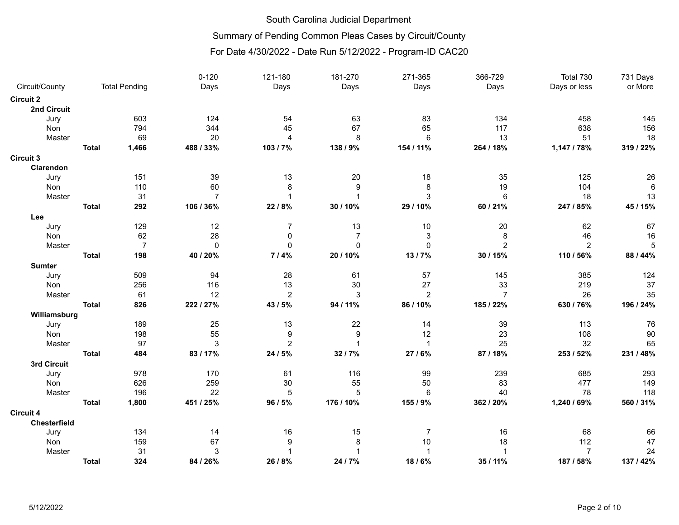## Summary of Pending Common Pleas Cases by Circuit/County

|                  |              |                      | $0 - 120$      | 121-180        | 181-270          | 271-365        | 366-729        | Total 730      | 731 Days        |
|------------------|--------------|----------------------|----------------|----------------|------------------|----------------|----------------|----------------|-----------------|
| Circuit/County   |              | <b>Total Pending</b> | Days           | Days           | Days             | Days           | Days           | Days or less   | or More         |
| <b>Circuit 2</b> |              |                      |                |                |                  |                |                |                |                 |
| 2nd Circuit      |              |                      |                |                |                  |                |                |                |                 |
| Jury             |              | 603                  | 124            | 54             | 63               | 83             | 134            | 458            | 145             |
| Non              |              | 794                  | 344            | 45             | 67               | 65             | 117            | 638            | 156             |
| Master           |              | 69                   | 20             | $\overline{4}$ | 8                | 6              | 13             | 51             | 18              |
|                  | <b>Total</b> | 1,466                | 488 / 33%      | 103/7%         | 138 / 9%         | 154 / 11%      | 264 / 18%      | 1,147 / 78%    | 319 / 22%       |
| <b>Circuit 3</b> |              |                      |                |                |                  |                |                |                |                 |
| Clarendon        |              |                      |                |                |                  |                |                |                |                 |
| Jury             |              | 151                  | 39             | 13             | 20               | 18             | 35             | 125            | 26              |
| Non              |              | 110                  | 60             | 8              | 9                | 8              | 19             | 104            | $6\phantom{1}6$ |
| Master           |              | 31                   | $\overline{7}$ | 1              | $\overline{1}$   | 3              | $\,6\,$        | 18             | 13              |
|                  | <b>Total</b> | 292                  | 106 / 36%      | 22 / 8%        | 30 / 10%         | 29 / 10%       | 60 / 21%       | 247 / 85%      | 45 / 15%        |
| Lee              |              |                      |                |                |                  |                |                |                |                 |
| Jury             |              | 129                  | 12             | 7              | 13               | $10$           | 20             | 62             | 67              |
| Non              |              | 62                   | 28             | 0              | $\overline{7}$   | $\sqrt{3}$     | 8              | 46             | 16              |
| Master           |              | $\overline{7}$       | $\mathbf 0$    | 0              | $\mathbf 0$      | $\pmb{0}$      | $\overline{2}$ | $\overline{2}$ | 5               |
|                  | <b>Total</b> | 198                  | 40 / 20%       | 7/4%           | 20 / 10%         | 13/7%          | 30 / 15%       | 110 / 56%      | 88 / 44%        |
| <b>Sumter</b>    |              |                      |                |                |                  |                |                |                |                 |
| Jury             |              | 509                  | 94             | 28             | 61               | 57             | 145            | 385            | 124             |
| Non              |              | 256                  | 116            | 13             | 30               | 27             | 33             | 219            | 37              |
| Master           |              | 61                   | 12             | $\overline{c}$ | 3                | $\overline{c}$ | $\overline{7}$ | 26             | 35              |
|                  | <b>Total</b> | 826                  | 222 / 27%      | 43 / 5%        | 94 / 11%         | 86 / 10%       | 185 / 22%      | 630 / 76%      | 196 / 24%       |
| Williamsburg     |              |                      |                |                |                  |                |                |                |                 |
| Jury             |              | 189                  | 25             | 13             | 22               | 14             | 39             | 113            | 76              |
| Non              |              | 198                  | 55             | 9              | $\boldsymbol{9}$ | 12             | 23             | 108            | 90              |
| Master           |              | 97                   | 3              | $\overline{2}$ | $\overline{1}$   | $\overline{1}$ | 25             | 32             | 65              |
|                  | <b>Total</b> | 484                  | 83/17%         | 24 / 5%        | 32 / 7%          | 27 / 6%        | 87 / 18%       | 253 / 52%      | 231 / 48%       |
| 3rd Circuit      |              |                      |                |                |                  |                |                |                |                 |
| Jury             |              | 978                  | 170            | 61             | 116              | 99             | 239            | 685            | 293             |
| Non              |              | 626                  | 259            | 30             | 55               | 50             | 83             | 477            | 149             |
| Master           |              | 196                  | 22             | 5              | 5                | 6              | 40             | 78             | 118             |
|                  | <b>Total</b> | 1,800                | 451 / 25%      | 96 / 5%        | 176 / 10%        | 155 / 9%       | 362 / 20%      | 1,240 / 69%    | 560 / 31%       |
| <b>Circuit 4</b> |              |                      |                |                |                  |                |                |                |                 |
| Chesterfield     |              |                      |                |                |                  |                |                |                |                 |
| Jury             |              | 134                  | 14             | 16             | 15               | 7              | 16             | 68             | 66              |
| Non              |              | 159                  | 67             | 9              | 8                | 10             | 18             | 112            | 47              |
| Master           |              | 31                   | $\mathbf{3}$   | 1              |                  | $\overline{1}$ | $\overline{1}$ | $\overline{7}$ | 24              |
|                  | <b>Total</b> | 324                  | 84 / 26%       | 26 / 8%        | 24 / 7%          | 18/6%          | 35 / 11%       | 187 / 58%      | 137 / 42%       |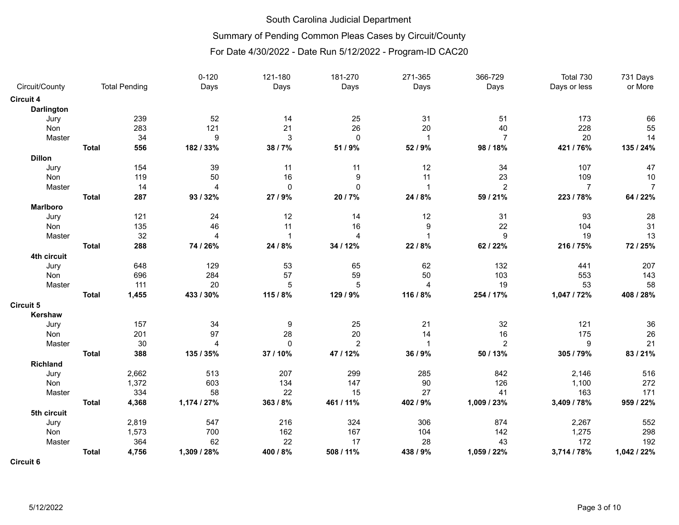# Summary of Pending Common Pleas Cases by Circuit/County

## For Date 4/30/2022 - Date Run 5/12/2022 - Program-ID CAC20

|                  |              |                      | $0 - 120$      | 121-180        | 181-270          | 271-365        | 366-729        | Total 730      | 731 Days       |
|------------------|--------------|----------------------|----------------|----------------|------------------|----------------|----------------|----------------|----------------|
| Circuit/County   |              | <b>Total Pending</b> | Days           | Days           | Days             | Days           | Days           | Days or less   | or More        |
| <b>Circuit 4</b> |              |                      |                |                |                  |                |                |                |                |
| Darlington       |              |                      |                |                |                  |                |                |                |                |
| Jury             |              | 239                  | 52             | 14             | 25               | 31             | 51             | 173            | 66             |
| Non              |              | 283                  | 121            | 21             | 26               | 20             | 40             | 228            | 55             |
| Master           |              | 34                   | 9              | $\mathsf 3$    | $\pmb{0}$        | $\mathbf{1}$   | $\overline{7}$ | 20             | 14             |
|                  | <b>Total</b> | 556                  | 182 / 33%      | 38 / 7%        | 51 / 9%          | 52 / 9%        | 98 / 18%       | 421 / 76%      | 135 / 24%      |
| <b>Dillon</b>    |              |                      |                |                |                  |                |                |                |                |
| Jury             |              | 154                  | 39             | 11             | 11               | 12             | 34             | 107            | 47             |
| Non              |              | 119                  | 50             | 16             | $\boldsymbol{9}$ | 11             | 23             | 109            | 10             |
| Master           |              | 14                   | $\overline{4}$ | 0              | $\mathbf 0$      | $\overline{1}$ | $\overline{2}$ | $\overline{7}$ | $\overline{7}$ |
|                  | <b>Total</b> | 287                  | 93 / 32%       | 27 / 9%        | 20 / 7%          | 24 / 8%        | 59 / 21%       | 223 / 78%      | 64 / 22%       |
| <b>Marlboro</b>  |              |                      |                |                |                  |                |                |                |                |
| Jury             |              | 121                  | 24             | 12             | 14               | 12             | 31             | 93             | 28             |
| Non              |              | 135                  | 46             | 11             | 16               | 9              | 22             | 104            | 31             |
| Master           |              | 32                   | 4              | $\mathbf{1}$   | $\overline{4}$   |                | 9              | 19             | 13             |
|                  | <b>Total</b> | 288                  | 74 / 26%       | 24 / 8%        | 34 / 12%         | 22 / 8%        | 62 / 22%       | 216 / 75%      | 72 / 25%       |
| 4th circuit      |              |                      |                |                |                  |                |                |                |                |
| Jury             |              | 648                  | 129            | 53             | 65               | 62             | 132            | 441            | 207            |
| Non              |              | 696                  | 284            | 57             | 59               | 50             | 103            | 553            | 143            |
| Master           |              | 111                  | 20             | $\overline{5}$ | $\overline{5}$   | 4              | 19             | 53             | 58             |
|                  | <b>Total</b> | 1,455                | 433 / 30%      | 115 / 8%       | 129 / 9%         | 116 / 8%       | 254 / 17%      | 1,047 / 72%    | 408 / 28%      |
| Circuit 5        |              |                      |                |                |                  |                |                |                |                |
| Kershaw          |              |                      |                |                |                  |                |                |                |                |
| Jury             |              | 157                  | 34             | 9              | 25               | 21             | 32             | 121            | 36             |
| Non              |              | 201                  | 97             | 28             | 20               | 14             | 16             | 175            | 26             |
| Master           |              | 30                   | $\overline{4}$ | $\mathbf 0$    | $\overline{2}$   | $\mathbf{1}$   | 2              | 9              | 21             |
|                  | <b>Total</b> | 388                  | 135 / 35%      | 37 / 10%       | 47 / 12%         | 36 / 9%        | 50 / 13%       | 305 / 79%      | 83/21%         |
| Richland         |              |                      |                |                |                  |                |                |                |                |
| Jury             |              | 2,662                | 513            | 207            | 299              | 285            | 842            | 2,146          | 516            |
| Non              |              | 1,372                | 603            | 134            | 147              | 90             | 126            | 1,100          | 272            |
| Master           |              | 334                  | 58             | 22             | 15               | 27             | 41             | 163            | 171            |
|                  | <b>Total</b> | 4,368                | 1,174 / 27%    | 363 / 8%       | 461 / 11%        | 402 / 9%       | 1,009 / 23%    | 3,409 / 78%    | 959 / 22%      |
| 5th circuit      |              |                      |                |                |                  |                |                |                |                |
| Jury             |              | 2,819                | 547            | 216            | 324              | 306            | 874            | 2,267          | 552            |
| Non              |              | 1,573                | 700            | 162            | 167              | 104            | 142            | 1,275          | 298            |
| Master           |              | 364                  | 62             | 22             | 17               | 28             | 43             | 172            | 192            |
|                  | <b>Total</b> | 4,756                | 1,309 / 28%    | 400 / 8%       | 508 / 11%        | 438 / 9%       | 1,059 / 22%    | 3,714 / 78%    | 1,042 / 22%    |
| ---              |              |                      |                |                |                  |                |                |                |                |

**Circuit 6**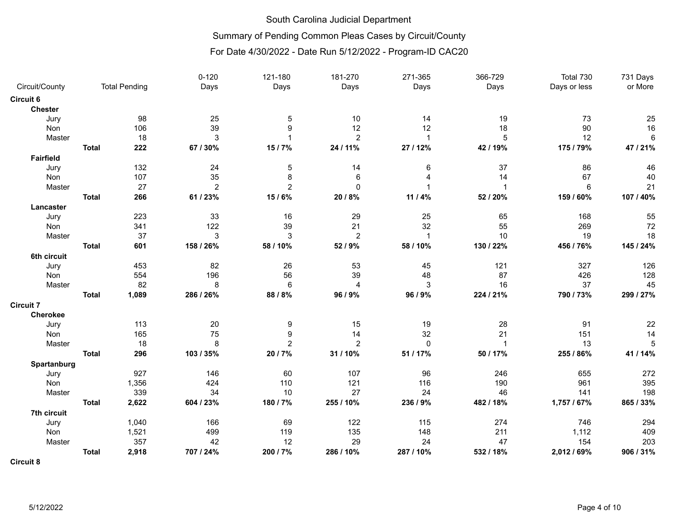## Summary of Pending Common Pleas Cases by Circuit/County

## For Date 4/30/2022 - Date Run 5/12/2022 - Program-ID CAC20

|                  |              |                      | $0 - 120$      | 121-180        | 181-270        | 271-365      | 366-729        | Total 730      | 731 Days   |
|------------------|--------------|----------------------|----------------|----------------|----------------|--------------|----------------|----------------|------------|
| Circuit/County   |              | <b>Total Pending</b> | Days           | Days           | Days           | Days         | Days           | Days or less   | or More    |
| Circuit 6        |              |                      |                |                |                |              |                |                |            |
| <b>Chester</b>   |              |                      |                |                |                |              |                |                |            |
| Jury             |              | 98                   | 25             | 5              | 10             | 14           | 19             | 73             | 25         |
| Non              |              | 106                  | 39             | 9              | 12             | 12           | 18             | $90\,$         | 16         |
| Master           |              | 18                   | 3              | 1              | $\overline{2}$ | $\mathbf{1}$ | 5              | 12             | $\,6\,$    |
|                  | <b>Total</b> | 222                  | 67 / 30%       | 15/7%          | 24 / 11%       | 27 / 12%     | 42 / 19%       | 175 / 79%      | 47 / 21%   |
| <b>Fairfield</b> |              |                      |                |                |                |              |                |                |            |
| Jury             |              | 132                  | 24             | 5              | 14             | 6            | 37             | 86             | 46         |
| Non              |              | 107                  | 35             | 8              | 6              | 4            | 14             | 67             | 40         |
| Master           |              | 27                   | $\overline{2}$ | $\overline{2}$ | $\mathbf{0}$   |              | $\mathbf{1}$   | $6\phantom{1}$ | 21         |
|                  | <b>Total</b> | 266                  | 61 / 23%       | 15/6%          | 20 / 8%        | 11 / 4%      | 52 / 20%       | 159 / 60%      | 107 / 40%  |
| Lancaster        |              |                      |                |                |                |              |                |                |            |
| Jury             |              | 223                  | 33             | 16             | 29             | 25           | 65             | 168            | 55         |
| Non              |              | 341                  | 122            | 39             | 21             | 32           | 55             | 269            | $72\,$     |
| Master           |              | 37                   | 3              | 3              | $\overline{c}$ | $\mathbf{1}$ | 10             | 19             | 18         |
|                  | <b>Total</b> | 601                  | 158 / 26%      | 58 / 10%       | 52 / 9%        | 58 / 10%     | 130 / 22%      | 456 / 76%      | 145 / 24%  |
| 6th circuit      |              |                      |                |                |                |              |                |                |            |
| Jury             |              | 453                  | 82             | 26             | 53             | 45           | 121            | 327            | 126        |
| Non              |              | 554                  | 196            | 56             | 39             | 48           | 87             | 426            | 128        |
| Master           |              | 82                   | 8              | $\,6\,$        | $\overline{4}$ | $\mathsf 3$  | 16             | 37             | 45         |
|                  | <b>Total</b> | 1,089                | 286 / 26%      | 88 / 8%        | 96 / 9%        | 96 / 9%      | 224 / 21%      | 790 / 73%      | 299 / 27%  |
| <b>Circuit 7</b> |              |                      |                |                |                |              |                |                |            |
| Cherokee         |              |                      |                |                |                |              |                |                |            |
| Jury             |              | 113                  | 20             | 9              | 15             | 19           | 28             | 91             | 22         |
| Non              |              | 165                  | 75             | 9              | 14             | 32           | 21             | 151            | 14         |
| Master           |              | 18                   | 8              | $\overline{2}$ | $\overline{2}$ | $\mathbf 0$  | $\overline{1}$ | 13             | $\sqrt{5}$ |
|                  | <b>Total</b> | 296                  | 103 / 35%      | 20 / 7%        | 31 / 10%       | 51 / 17%     | 50 / 17%       | 255 / 86%      | 41 / 14%   |
| Spartanburg      |              |                      |                |                |                |              |                |                |            |
| Jury             |              | 927                  | 146            | 60             | 107            | 96           | 246            | 655            | 272        |
| Non              |              | 1,356                | 424            | 110            | 121            | 116          | 190            | 961            | 395        |
| Master           |              | 339                  | 34             | 10             | 27             | 24           | 46             | 141            | 198        |
|                  | <b>Total</b> | 2,622                | 604 / 23%      | 180 / 7%       | 255 / 10%      | 236 / 9%     | 482 / 18%      | 1,757 / 67%    | 865 / 33%  |
| 7th circuit      |              |                      |                |                |                |              |                |                |            |
| Jury             |              | 1,040                | 166            | 69             | 122            | 115          | 274            | 746            | 294        |
| Non              |              | 1,521                | 499            | 119            | 135            | 148          | 211            | 1,112          | 409        |
| Master           |              | 357                  | 42             | 12             | 29             | 24           | 47             | 154            | 203        |
|                  | <b>Total</b> | 2,918                | 707 / 24%      | 200 / 7%       | 286 / 10%      | 287 / 10%    | 532 / 18%      | 2,012 / 69%    | 906 / 31%  |
| $\sim$ $\sim$    |              |                      |                |                |                |              |                |                |            |

**Circuit 8**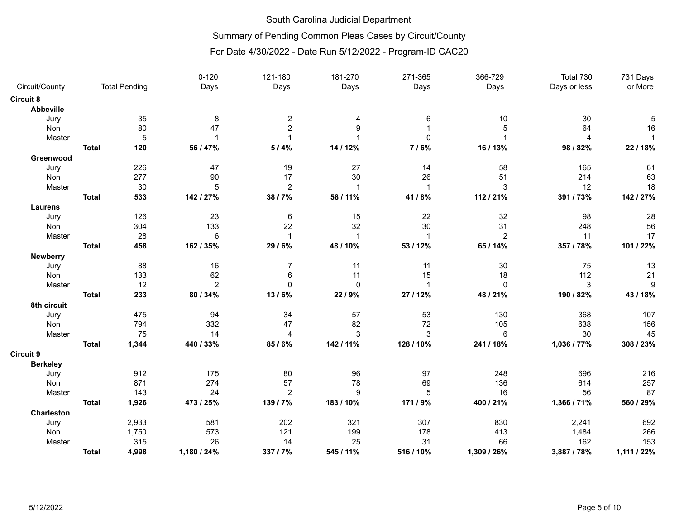## Summary of Pending Common Pleas Cases by Circuit/County

|                   |              |                      | $0 - 120$      | 121-180        | 181-270      | 271-365      | 366-729        | Total 730    | 731 Days     |
|-------------------|--------------|----------------------|----------------|----------------|--------------|--------------|----------------|--------------|--------------|
| Circuit/County    |              | <b>Total Pending</b> | Days           | Days           | Days         | Days         | Days           | Days or less | or More      |
| Circuit 8         |              |                      |                |                |              |              |                |              |              |
| <b>Abbeville</b>  |              |                      |                |                |              |              |                |              |              |
| Jury              |              | 35                   | 8              | $\overline{c}$ | 4            | 6            | 10             | 30           | 5            |
| Non               |              | 80                   | 47             | $\overline{c}$ | 9            |              | 5              | 64           | 16           |
| Master            |              | 5                    | $\overline{1}$ | $\overline{1}$ |              | $\mathbf 0$  |                | 4            | $\mathbf{1}$ |
|                   | <b>Total</b> | 120                  | 56 / 47%       | 5/4%           | 14 / 12%     | 7/6%         | 16 / 13%       | 98 / 82%     | 22 / 18%     |
| Greenwood         |              |                      |                |                |              |              |                |              |              |
| Jury              |              | 226                  | 47             | 19             | 27           | 14           | 58             | 165          | 61           |
| Non               |              | 277                  | 90             | 17             | 30           | 26           | 51             | 214          | 63           |
| Master            |              | 30                   | 5              | $\overline{c}$ | $\mathbf{1}$ | $\mathbf{1}$ | 3              | 12           | 18           |
|                   | <b>Total</b> | 533                  | 142 / 27%      | 38 / 7%        | 58 / 11%     | 41 / 8%      | 112 / 21%      | 391 / 73%    | 142 / 27%    |
| <b>Laurens</b>    |              |                      |                |                |              |              |                |              |              |
| Jury              |              | 126                  | 23             | $\,6\,$        | 15           | 22           | 32             | 98           | 28           |
| Non               |              | 304                  | 133            | 22             | 32           | 30           | 31             | 248          | 56           |
| Master            |              | 28                   | 6              | $\mathbf{1}$   | $\mathbf{1}$ | $\mathbf{1}$ | $\overline{2}$ | 11           | 17           |
|                   | <b>Total</b> | 458                  | 162 / 35%      | 29 / 6%        | 48 / 10%     | 53 / 12%     | 65 / 14%       | 357 / 78%    | 101 / 22%    |
| Newberry          |              |                      |                |                |              |              |                |              |              |
| Jury              |              | 88                   | 16             | 7              | 11           | 11           | 30             | 75           | 13           |
| Non               |              | 133                  | 62             | 6              | 11           | 15           | 18             | 112          | 21           |
| Master            |              | 12                   | $\overline{2}$ | $\mathbf 0$    | $\mathbf 0$  | $\mathbf{1}$ | $\mathbf 0$    | 3            | 9            |
|                   | <b>Total</b> | 233                  | 80 / 34%       | 13/6%          | 22 / 9%      | 27 / 12%     | 48 / 21%       | 190 / 82%    | 43/18%       |
| 8th circuit       |              |                      |                |                |              |              |                |              |              |
| Jury              |              | 475                  | 94             | 34             | 57           | 53           | 130            | 368          | 107          |
| Non               |              | 794                  | 332            | 47             | 82           | 72           | 105            | 638          | 156          |
| Master            |              | 75                   | 14             | $\overline{4}$ | 3            | $\mathbf{3}$ | 6              | 30           | 45           |
|                   | <b>Total</b> | 1,344                | 440 / 33%      | 85/6%          | 142 / 11%    | 128 / 10%    | 241 / 18%      | 1,036 / 77%  | 308 / 23%    |
| Circuit 9         |              |                      |                |                |              |              |                |              |              |
| <b>Berkeley</b>   |              |                      |                |                |              |              |                |              |              |
| Jury              |              | 912                  | 175            | 80             | 96           | 97           | 248            | 696          | 216          |
| Non               |              | 871                  | 274            | 57             | 78           | 69           | 136            | 614          | 257          |
| Master            |              | 143                  | 24             | $\overline{2}$ | 9            | 5            | 16             | 56           | 87           |
|                   | <b>Total</b> | 1,926                | 473 / 25%      | 139 / 7%       | 183 / 10%    | 171 / 9%     | 400 / 21%      | 1,366 / 71%  | 560 / 29%    |
| <b>Charleston</b> |              |                      |                |                |              |              |                |              |              |
| Jury              |              | 2,933                | 581            | 202            | 321          | 307          | 830            | 2,241        | 692          |
| Non               |              | 1,750                | 573            | 121            | 199          | 178          | 413            | 1,484        | 266          |
| Master            |              | 315                  | 26             | 14             | 25           | 31           | 66             | 162          | 153          |
|                   | <b>Total</b> | 4,998                | 1,180 / 24%    | 337 / 7%       | 545 / 11%    | 516 / 10%    | 1,309 / 26%    | 3,887 / 78%  | 1,111 / 22%  |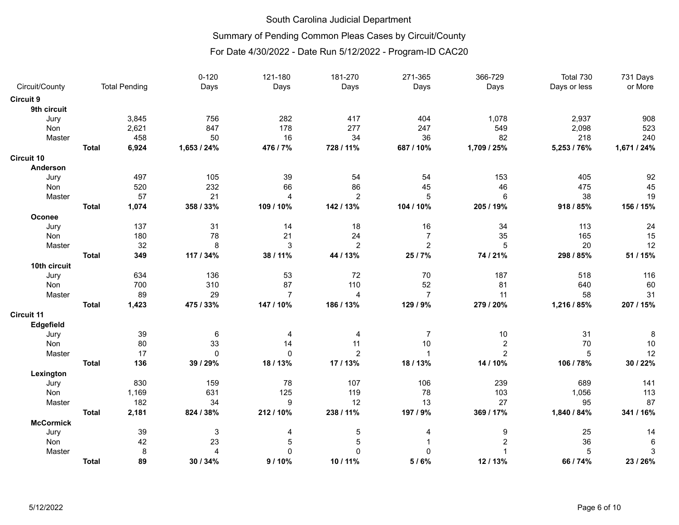## Summary of Pending Common Pleas Cases by Circuit/County

|                  |              |                      | $0 - 120$    | 121-180        | 181-270        | 271-365        | 366-729        | Total 730    | 731 Days    |
|------------------|--------------|----------------------|--------------|----------------|----------------|----------------|----------------|--------------|-------------|
| Circuit/County   |              | <b>Total Pending</b> | Days         | Days           | Days           | Days           | Days           | Days or less | or More     |
| Circuit 9        |              |                      |              |                |                |                |                |              |             |
| 9th circuit      |              |                      |              |                |                |                |                |              |             |
| Jury             |              | 3,845                | 756          | 282            | 417            | 404            | 1,078          | 2,937        | 908         |
| Non              |              | 2,621                | 847          | 178            | 277            | 247            | 549            | 2,098        | 523         |
| Master           |              | 458                  | 50           | 16             | 34             | 36             | 82             | 218          | 240         |
|                  | <b>Total</b> | 6,924                | 1,653 / 24%  | 476 / 7%       | 728 / 11%      | 687 / 10%      | 1,709 / 25%    | 5,253 / 76%  | 1,671 / 24% |
| Circuit 10       |              |                      |              |                |                |                |                |              |             |
| Anderson         |              |                      |              |                |                |                |                |              |             |
| Jury             |              | 497                  | 105          | 39             | 54             | 54             | 153            | 405          | 92          |
| Non              |              | 520                  | 232          | 66             | 86             | 45             | 46             | 475          | 45          |
| Master           |              | 57                   | 21           | $\overline{4}$ | $\overline{2}$ | 5              | 6              | 38           | 19          |
|                  | <b>Total</b> | 1,074                | 358 / 33%    | 109 / 10%      | 142 / 13%      | 104 / 10%      | 205 / 19%      | 918 / 85%    | 156 / 15%   |
| Oconee           |              |                      |              |                |                |                |                |              |             |
| Jury             |              | 137                  | 31           | 14             | 18             | 16             | 34             | 113          | 24          |
| Non              |              | 180                  | 78           | 21             | 24             | $\overline{7}$ | 35             | 165          | 15          |
| Master           |              | 32                   | 8            | 3              | $\overline{2}$ | $\overline{c}$ | 5              | 20           | 12          |
|                  | <b>Total</b> | 349                  | 117 / 34%    | 38 / 11%       | 44 / 13%       | 25 / 7%        | 74 / 21%       | 298 / 85%    | 51 / 15%    |
| 10th circuit     |              |                      |              |                |                |                |                |              |             |
| Jury             |              | 634                  | 136          | 53             | 72             | 70             | 187            | 518          | 116         |
| Non              |              | 700                  | 310          | 87             | 110            | 52             | 81             | 640          | 60          |
| Master           |              | 89                   | 29           | $\overline{7}$ | $\overline{4}$ | $\overline{7}$ | 11             | 58           | 31          |
|                  | <b>Total</b> | 1,423                | 475 / 33%    | 147 / 10%      | 186 / 13%      | 129 / 9%       | 279 / 20%      | 1,216 / 85%  | 207 / 15%   |
| Circuit 11       |              |                      |              |                |                |                |                |              |             |
| Edgefield        |              |                      |              |                |                |                |                |              |             |
| Jury             |              | 39                   | 6            | 4              | 4              | 7              | 10             | 31           | 8           |
| Non              |              | 80                   | 33           | 14             | 11             | $10$           | $\overline{2}$ | 70           | 10          |
| Master           |              | 17                   | $\mathbf{0}$ | $\Omega$       | $\overline{2}$ | $\mathbf{1}$   | $\overline{2}$ | 5            | 12          |
|                  | <b>Total</b> | 136                  | 39 / 29%     | 18 / 13%       | 17/13%         | 18 / 13%       | 14 / 10%       | 106 / 78%    | 30 / 22%    |
| Lexington        |              |                      |              |                |                |                |                |              |             |
| Jury             |              | 830                  | 159          | 78             | 107            | 106            | 239            | 689          | 141         |
| <b>Non</b>       |              | 1,169                | 631          | 125            | 119            | 78             | 103            | 1,056        | 113         |
| Master           |              | 182                  | 34           | 9              | 12             | 13             | 27             | 95           | 87          |
|                  | <b>Total</b> | 2,181                | 824 / 38%    | 212/10%        | 238 / 11%      | 197 / 9%       | 369 / 17%      | 1,840 / 84%  | 341 / 16%   |
| <b>McCormick</b> |              |                      |              |                |                |                |                |              |             |
| Jury             |              | 39                   | 3            | 4              | $\,$ 5 $\,$    | 4              | 9              | 25           | 14          |
| Non              |              | 42                   | 23           | 5              | 5              |                | $\overline{2}$ | 36           | 6           |
| Master           |              | 8                    | 4            | 0              | $\mathbf 0$    | 0              |                | 5            | 3           |
|                  | <b>Total</b> | 89                   | 30 / 34%     | 9/10%          | 10 / 11%       | 5/6%           | 12/13%         | 66 / 74%     | 23/26%      |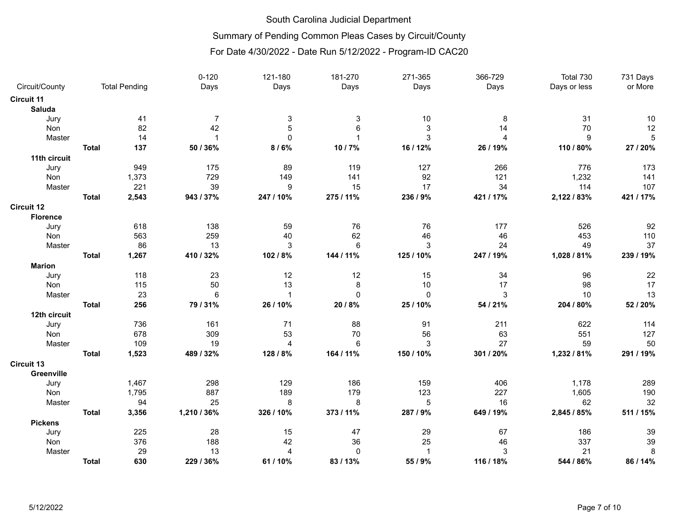# Summary of Pending Common Pleas Cases by Circuit/County

|                   |              |                      | $0 - 120$       | 121-180        | 181-270         | 271-365                   | 366-729        | Total 730    | 731 Days  |
|-------------------|--------------|----------------------|-----------------|----------------|-----------------|---------------------------|----------------|--------------|-----------|
| Circuit/County    |              | <b>Total Pending</b> | Days            | Days           | Days            | Days                      | Days           | Days or less | or More   |
| <b>Circuit 11</b> |              |                      |                 |                |                 |                           |                |              |           |
| Saluda            |              |                      |                 |                |                 |                           |                |              |           |
| Jury              |              | 41                   | $\overline{7}$  | 3              | 3               | $10$                      | 8              | 31           | 10        |
| Non               |              | 82                   | 42              | 5              | $6\phantom{1}6$ | $\ensuremath{\mathsf{3}}$ | 14             | 70           | 12        |
| Master            |              | 14                   |                 | $\Omega$       |                 | 3                         | $\overline{4}$ | 9            | 5         |
|                   | <b>Total</b> | 137                  | 50 / 36%        | 8/6%           | 10/7%           | 16 / 12%                  | 26 / 19%       | 110 / 80%    | 27 / 20%  |
| 11th circuit      |              |                      |                 |                |                 |                           |                |              |           |
| Jury              |              | 949                  | 175             | 89             | 119             | 127                       | 266            | 776          | 173       |
| Non               |              | 1,373                | 729             | 149            | 141             | 92                        | 121            | 1,232        | 141       |
| Master            |              | 221                  | 39              | 9              | 15              | 17                        | 34             | 114          | 107       |
|                   | <b>Total</b> | 2,543                | 943 / 37%       | 247 / 10%      | 275 / 11%       | 236 / 9%                  | 421 / 17%      | 2,122 / 83%  | 421 / 17% |
| <b>Circuit 12</b> |              |                      |                 |                |                 |                           |                |              |           |
| <b>Florence</b>   |              |                      |                 |                |                 |                           |                |              |           |
| Jury              |              | 618                  | 138             | 59             | 76              | 76                        | 177            | 526          | 92        |
| Non               |              | 563                  | 259             | 40             | 62              | 46                        | 46             | 453          | 110       |
| Master            |              | 86                   | 13              | $\mathsf 3$    | $\,6\,$         | $\mathsf 3$               | 24             | 49           | 37        |
|                   | <b>Total</b> | 1,267                | 410 / 32%       | 102 / 8%       | 144 / 11%       | 125 / 10%                 | 247 / 19%      | 1,028 / 81%  | 239 / 19% |
| <b>Marion</b>     |              |                      |                 |                |                 |                           |                |              |           |
| Jury              |              | 118                  | 23              | 12             | 12              | 15                        | 34             | 96           | 22        |
| Non               |              | 115                  | 50              | 13             | 8               | 10                        | 17             | 98           | 17        |
| Master            |              | 23                   | $6\phantom{1}6$ | $\overline{1}$ | $\mathbf 0$     | $\pmb{0}$                 | 3              | 10           | 13        |
|                   | <b>Total</b> | 256                  | 79 / 31%        | 26 / 10%       | 20 / 8%         | 25 / 10%                  | 54 / 21%       | 204 / 80%    | 52 / 20%  |
| 12th circuit      |              |                      |                 |                |                 |                           |                |              |           |
| Jury              |              | 736                  | 161             | 71             | 88              | 91                        | 211            | 622          | 114       |
| Non               |              | 678                  | 309             | 53             | 70              | 56                        | 63             | 551          | 127       |
| Master            |              | 109                  | 19              | 4              | 6               | 3                         | 27             | 59           | 50        |
|                   | <b>Total</b> | 1,523                | 489 / 32%       | 128 / 8%       | 164 / 11%       | 150 / 10%                 | 301 / 20%      | 1,232 / 81%  | 291 / 19% |
| <b>Circuit 13</b> |              |                      |                 |                |                 |                           |                |              |           |
| Greenville        |              |                      |                 |                |                 |                           |                |              |           |
| Jury              |              | 1,467                | 298             | 129            | 186             | 159                       | 406            | 1,178        | 289       |
| Non               |              | 1,795                | 887             | 189            | 179             | 123                       | 227            | 1,605        | 190       |
| Master            |              | 94                   | 25              | 8              | 8               | $\sqrt{5}$                | 16             | 62           | 32        |
|                   | <b>Total</b> | 3,356                | 1,210 / 36%     | 326 / 10%      | 373 / 11%       | 287 / 9%                  | 649 / 19%      | 2,845 / 85%  | 511 / 15% |
| <b>Pickens</b>    |              |                      |                 |                |                 |                           |                |              |           |
| Jury              |              | 225                  | 28              | 15             | 47              | 29                        | 67             | 186          | 39        |
| Non               |              | 376                  | 188             | 42             | 36              | 25                        | 46             | 337          | 39        |
| Master            |              | 29                   | 13              | 4              | $\pmb{0}$       | $\mathbf{1}$              | 3              | 21           | 8         |
|                   | <b>Total</b> | 630                  | 229 / 36%       | 61 / 10%       | 83/13%          | 55 / 9%                   | 116 / 18%      | 544 / 86%    | 86 / 14%  |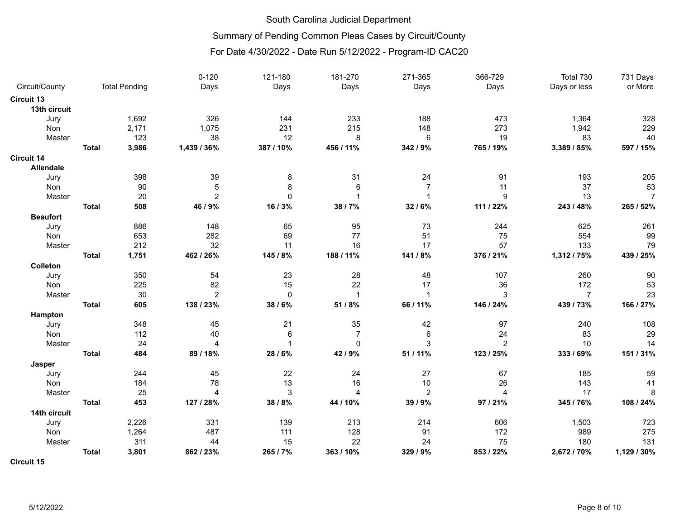## Summary of Pending Common Pleas Cases by Circuit/County

For Date 4/30/2022 - Date Run 5/12/2022 - Program-ID CAC20

|                  |              |                      | $0 - 120$      | 121-180     | 181-270        | 271-365        | 366-729        | Total 730      | 731 Days       |
|------------------|--------------|----------------------|----------------|-------------|----------------|----------------|----------------|----------------|----------------|
| Circuit/County   |              | <b>Total Pending</b> | Days           | Days        | Days           | Days           | Days           | Days or less   | or More        |
| Circuit 13       |              |                      |                |             |                |                |                |                |                |
| 13th circuit     |              |                      |                |             |                |                |                |                |                |
| Jury             |              | 1,692                | 326            | 144         | 233            | 188            | 473            | 1,364          | 328            |
| Non              |              | 2,171                | 1,075          | 231         | 215            | 148            | 273            | 1,942          | 229            |
| Master           |              | 123                  | 38             | 12          | 8              | 6              | 19             | 83             | 40             |
|                  | <b>Total</b> | 3,986                | 1,439 / 36%    | 387 / 10%   | 456 / 11%      | 342 / 9%       | 765 / 19%      | 3,389 / 85%    | 597 / 15%      |
| Circuit 14       |              |                      |                |             |                |                |                |                |                |
| <b>Allendale</b> |              |                      |                |             |                |                |                |                |                |
| Jury             |              | 398                  | 39             | 8           | 31             | 24             | 91             | 193            | 205            |
| Non              |              | 90                   | 5              | 8           | 6              | $\overline{7}$ | 11             | 37             | 53             |
| Master           |              | 20                   | $\overline{2}$ | $\Omega$    | $\mathbf{1}$   | $\overline{1}$ | 9              | 13             | $\overline{7}$ |
|                  | <b>Total</b> | 508                  | 46 / 9%        | 16/3%       | 38 / 7%        | 32 / 6%        | 111 / 22%      | 243 / 48%      | 265 / 52%      |
| <b>Beaufort</b>  |              |                      |                |             |                |                |                |                |                |
| Jury             |              | 886                  | 148            | 65          | 95             | 73             | 244            | 625            | 261            |
| Non              |              | 653                  | 282            | 69          | 77             | 51             | 75             | 554            | 99             |
| Master           |              | 212                  | 32             | 11          | 16             | 17             | 57             | 133            | 79             |
|                  | <b>Total</b> | 1,751                | 462 / 26%      | 145 / 8%    | 188 / 11%      | 141 / 8%       | 376 / 21%      | 1,312 / 75%    | 439 / 25%      |
| Colleton         |              |                      |                |             |                |                |                |                |                |
| Jury             |              | 350                  | 54             | 23          | 28             | 48             | 107            | 260            | 90             |
| Non              |              | 225                  | 82             | 15          | 22             | 17             | 36             | 172            | 53             |
| Master           |              | 30                   | $\overline{2}$ | $\mathbf 0$ | $\mathbf{1}$   | $\overline{1}$ | 3              | $\overline{7}$ | 23             |
|                  | <b>Total</b> | 605                  | 138 / 23%      | 38/6%       | 51 / 8%        | 66 / 11%       | 146 / 24%      | 439 / 73%      | 166 / 27%      |
| Hampton          |              |                      |                |             |                |                |                |                |                |
| Jury             |              | 348                  | 45             | 21          | 35             | 42             | 97             | 240            | 108            |
| Non              |              | 112                  | 40             | 6           | $\overline{7}$ | 6              | 24             | 83             | 29             |
| Master           |              | 24                   | $\overline{A}$ | 1           | $\mathbf{0}$   | 3              | $\overline{2}$ | 10             | 14             |
|                  | <b>Total</b> | 484                  | 89 / 18%       | 28 / 6%     | 42 / 9%        | 51 / 11%       | 123 / 25%      | 333 / 69%      | 151 / 31%      |
| Jasper           |              |                      |                |             |                |                |                |                |                |
| Jury             |              | 244                  | 45             | 22          | 24             | 27             | 67             | 185            | 59             |
| Non              |              | 184                  | 78             | 13          | 16             | 10             | 26             | 143            | 41             |
| Master           |              | 25                   | $\overline{4}$ | 3           | $\overline{4}$ | $\overline{c}$ | 4              | 17             | 8              |
|                  | <b>Total</b> | 453                  | 127 / 28%      | 38 / 8%     | 44 / 10%       | 39 / 9%        | 97 / 21%       | 345 / 76%      | 108 / 24%      |
| 14th circuit     |              |                      |                |             |                |                |                |                |                |
| Jury             |              | 2,226                | 331            | 139         | 213            | 214            | 606            | 1,503          | 723            |
| Non              |              | 1,264                | 487            | 111         | 128            | 91             | 172            | 989            | 275            |
| Master           |              | 311                  | 44             | 15          | 22             | 24             | 75             | 180            | 131            |
|                  | <b>Total</b> | 3,801                | 862 / 23%      | 265 / 7%    | 363 / 10%      | 329 / 9%       | 853 / 22%      | 2,672 / 70%    | 1,129 / 30%    |
|                  |              |                      |                |             |                |                |                |                |                |

**Circuit 15**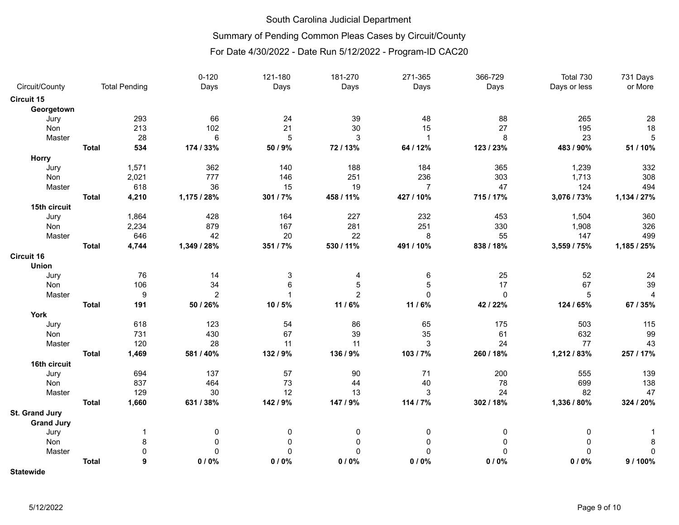# Summary of Pending Common Pleas Cases by Circuit/County

### For Date 4/30/2022 - Date Run 5/12/2022 - Program-ID CAC20

|                   |              |                      | $0 - 120$      | 121-180     | 181-270        | 271-365        | 366-729     | Total 730    | 731 Days       |
|-------------------|--------------|----------------------|----------------|-------------|----------------|----------------|-------------|--------------|----------------|
| Circuit/County    |              | <b>Total Pending</b> | Days           | Days        | Days           | Days           | Days        | Days or less | or More        |
| <b>Circuit 15</b> |              |                      |                |             |                |                |             |              |                |
| Georgetown        |              |                      |                |             |                |                |             |              |                |
| Jury              |              | 293                  | 66             | 24          | 39             | 48             | 88          | 265          | 28             |
| Non               |              | 213                  | 102            | 21          | 30             | 15             | 27          | 195          | 18             |
| Master            |              | 28                   | 6              | 5           | 3              | 1              | 8           | 23           | 5              |
|                   | <b>Total</b> | 534                  | 174 / 33%      | 50 / 9%     | 72/13%         | 64 / 12%       | 123 / 23%   | 483 / 90%    | 51 / 10%       |
| Horry             |              |                      |                |             |                |                |             |              |                |
| Jury              |              | 1,571                | 362            | 140         | 188            | 184            | 365         | 1,239        | 332            |
| Non               |              | 2,021                | 777            | 146         | 251            | 236            | 303         | 1,713        | 308            |
| Master            |              | 618                  | 36             | 15          | 19             | $\overline{7}$ | 47          | 124          | 494            |
|                   | <b>Total</b> | 4,210                | 1,175 / 28%    | 301 / 7%    | 458 / 11%      | 427 / 10%      | 715 / 17%   | 3,076 / 73%  | 1,134 / 27%    |
| 15th circuit      |              |                      |                |             |                |                |             |              |                |
| Jury              |              | 1,864                | 428            | 164         | 227            | 232            | 453         | 1,504        | 360            |
| Non               |              | 2,234                | 879            | 167         | 281            | 251            | 330         | 1,908        | 326            |
| Master            |              | 646                  | 42             | 20          | 22             | 8              | 55          | 147          | 499            |
|                   | <b>Total</b> | 4,744                | 1,349 / 28%    | 351 / 7%    | 530 / 11%      | 491 / 10%      | 838 / 18%   | 3,559 / 75%  | 1,185 / 25%    |
| <b>Circuit 16</b> |              |                      |                |             |                |                |             |              |                |
| <b>Union</b>      |              |                      |                |             |                |                |             |              |                |
| Jury              |              | 76                   | 14             | 3           | 4              | 6              | 25          | 52           | 24             |
| Non               |              | 106                  | 34             | 6           | $\sqrt{5}$     | 5              | 17          | 67           | 39             |
| Master            |              | $\boldsymbol{9}$     | $\overline{c}$ |             | $\overline{2}$ | $\mathbf 0$    | $\mathbf 0$ | 5            | $\overline{4}$ |
|                   | <b>Total</b> | 191                  | 50 / 26%       | 10 / 5%     | 11 / 6%        | 11 / 6%        | 42 / 22%    | 124 / 65%    | 67 / 35%       |
| <b>York</b>       |              |                      |                |             |                |                |             |              |                |
| Jury              |              | 618                  | 123            | 54          | 86             | 65             | 175         | 503          | 115            |
| Non               |              | 731                  | 430            | 67          | 39             | 35             | 61          | 632          | 99             |
| Master            |              | 120                  | 28             | 11          | 11             | 3              | 24          | 77           | 43             |
|                   | <b>Total</b> | 1,469                | 581 / 40%      | 132 / 9%    | 136 / 9%       | 103 / 7%       | 260 / 18%   | 1,212 / 83%  | 257 / 17%      |
| 16th circuit      |              |                      |                |             |                |                |             |              |                |
| Jury              |              | 694                  | 137            | 57          | 90             | 71             | 200         | 555          | 139            |
| Non               |              | 837                  | 464            | 73          | 44             | 40             | 78          | 699          | 138            |
| Master            |              | 129                  | 30             | 12          | 13             | $\mathbf{3}$   | 24          | 82           | 47             |
|                   | <b>Total</b> | 1,660                | 631 / 38%      | 142 / 9%    | 147 / 9%       | 114 / 7%       | 302 / 18%   | 1,336 / 80%  | 324 / 20%      |
| St. Grand Jury    |              |                      |                |             |                |                |             |              |                |
| <b>Grand Jury</b> |              |                      |                |             |                |                |             |              |                |
| Jury              |              | 1                    | 0              | 0           | 0              | 0              | 0           | 0            |                |
| Non               |              | 8                    | 0              | 0           | $\mathbf{0}$   | 0              | $\Omega$    | 0            | 8              |
| Master            |              | $\pmb{0}$            | $\Omega$       | $\mathbf 0$ | $\mathbf 0$    | 0              | $\mathbf 0$ | $\Omega$     | 0              |
|                   | <b>Total</b> | 9                    | 0/0%           | 0/0%        | 0/0%           | 0/0%           | 0/0%        | 0/0%         | 9/100%         |
|                   |              |                      |                |             |                |                |             |              |                |

**Statewide**